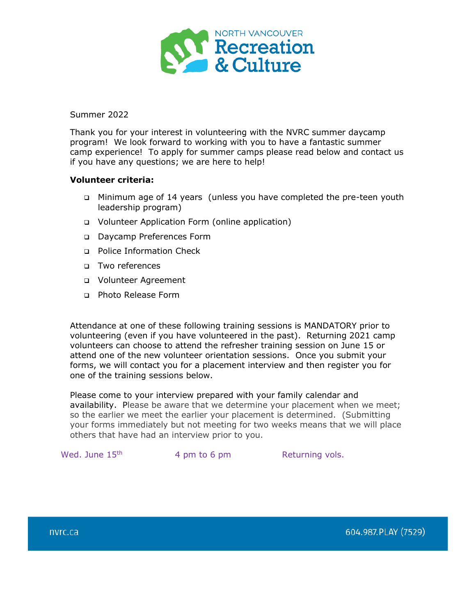

Summer 2022

Thank you for your interest in volunteering with the NVRC summer daycamp program! We look forward to working with you to have a fantastic summer camp experience! To apply for summer camps please read below and contact us if you have any questions; we are here to help!

## **Volunteer criteria:**

- Minimum age of 14 years (unless you have completed the pre-teen youth leadership program)
- Volunteer Application Form (online application)
- Daycamp Preferences Form
- □ Police Information Check
- Two references
- Volunteer Agreement
- Photo Release Form

Attendance at one of these following training sessions is MANDATORY prior to volunteering (even if you have volunteered in the past).Returning 2021 camp volunteers can choose to attend the refresher training session on June 15 or attend one of the new volunteer orientation sessions. Once you submit your forms, we will contact you for a placement interview and then register you for one of the training sessions below.

Please come to your interview prepared with your family calendar and availability. Please be aware that we determine your placement when we meet; so the earlier we meet the earlier your placement is determined. (Submitting your forms immediately but not meeting for two weeks means that we will place others that have had an interview prior to you.

Wed. June  $15<sup>th</sup>$  4 pm to 6 pm  $\blacksquare$  Returning vols.

604.987.PLAY (7529)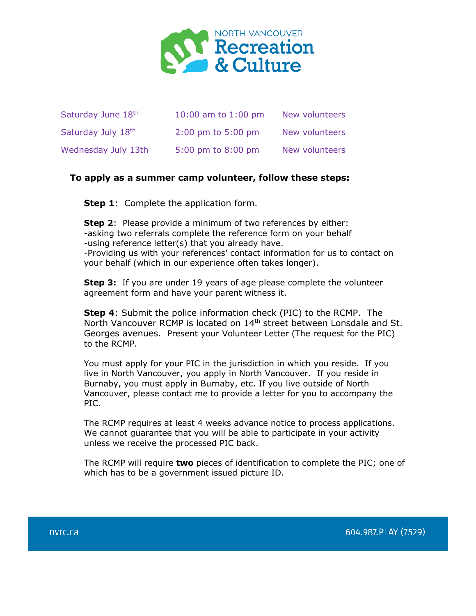

| Saturday June 18th  | 10:00 am to $1:00$ pm                  | New volunteers |
|---------------------|----------------------------------------|----------------|
| Saturday July 18th  | $2:00 \text{ pm}$ to $5:00 \text{ pm}$ | New volunteers |
| Wednesday July 13th | 5:00 pm to 8:00 pm                     | New volunteers |

## **To apply as a summer camp volunteer, follow these steps:**

**Step 1**: Complete the application form.

**Step 2**: Please provide a minimum of two references by either: -asking two referrals complete the reference form on your behalf -using reference letter(s) that you already have. -Providing us with your references' contact information for us to contact on your behalf (which in our experience often takes longer).

**Step 3:** If you are under 19 years of age please complete the volunteer agreement form and have your parent witness it.

**Step 4**: Submit the police information check (PIC) to the RCMP. The North Vancouver RCMP is located on 14<sup>th</sup> street between Lonsdale and St. Georges avenues. Present your Volunteer Letter (The request for the PIC) to the RCMP.

You must apply for your PIC in the jurisdiction in which you reside. If you live in North Vancouver, you apply in North Vancouver. If you reside in Burnaby, you must apply in Burnaby, etc. If you live outside of North Vancouver, please contact me to provide a letter for you to accompany the PIC.

The RCMP requires at least 4 weeks advance notice to process applications. We cannot guarantee that you will be able to participate in your activity unless we receive the processed PIC back.

The RCMP will require **two** pieces of identification to complete the PIC; one of which has to be a government issued picture ID.